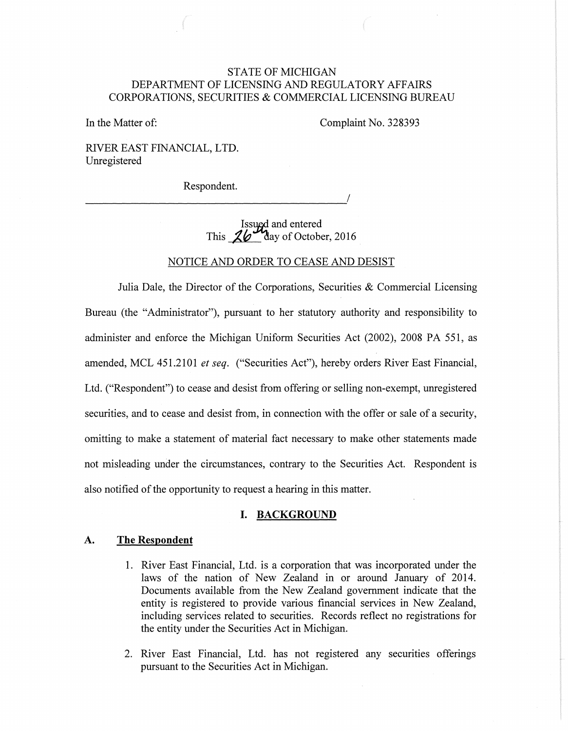# STATE OF MICHIGAN DEPARTMENT OF LICENSING AND REGULATORY AFFAIRS CORPORATIONS, SECURITIES & COMMERCIAL LICENSING BUREAU

In the Matter of:

Complaint No. 328393

RIVER EAST FINANCIAL, LTD. Unregistered

Respondent.

----------------------------------------~/

Issued and entered<br>This  $\frac{26}{10}$  day of October, 2016

### NOTICE AND ORDER TO CEASE AND DESIST

Julia Dale, the Director of the Corporations, Securities  $\&$  Commercial Licensing Bureau (the "Administrator"), pursuant to her statutory authority and responsibility to administer and enforce the Michigan Uniform Securities Act (2002), 2008 PA 551, as amended, MCL 451.2101 *et seq.* ("Securities Act"), hereby orders River East Financial, Ltd. ("Respondent") to cease and desist from offering or selling non-exempt, unregistered securities, and to cease and desist from, in connection with the offer or sale of a security, omitting to make a statement of material fact necessary to make other statements made not misleading under the circumstances, contrary to the Securities Act. Respondent is also notified of the opportunity to request a hearing in this matter.

#### **I. BACKGROUND**

#### **A. The Respondent**

- 1. River East Financial, Ltd. is a corporation that was incorporated under the laws of the nation of New Zealand in or around January of 2014. Documents available from the New Zealand government indicate that the entity is registered to provide various financial services in New Zealand, including services related to securities. Records reflect no registrations for the entity under the Securities Act in Michigan.
- 2. River East Financial, Ltd. has not registered any securities offerings pursuant to the Securities Act in Michigan.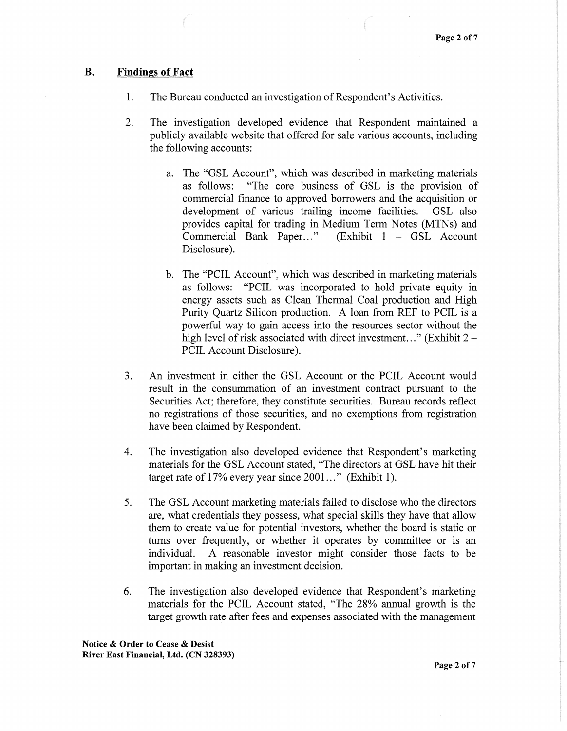## B. Findings of Fact

- 1. The Bureau conducted an investigation of Respondent's Activities.
- 2. The investigation developed evidence that Respondent maintained a publicly available website that offered for sale various accounts, including the following accounts:
	- a. The "GSL Account", which was described in marketing materials as follows: "The core business of GSL is the provision of commercial finance to approved borrowers and the acquisition or development of various trailing income facilities. GSL also provides capital for trading in Medium Term Notes (MTNs) and Commercial Bank Paper..." (Exhibit  $1 - GSL$  Account Disclosure).
	- b. The "PCIL Account", which was described in marketing materials as follows: "PCIL was incorporated to hold private equity in energy assets such as Clean Thermal Coal production and High Purity Quartz Silicon production. A loan from REF to PCIL is a powerful way to gain access into the resources sector without the high level of risk associated with direct investment..." (Exhibit  $2 -$ PCIL Account Disclosure).
- 3. An investment in either the GSL Account or the PCIL Account would result in the consummation of an investment contract pursuant to the Securities Act; therefore, they constitute securities. Bureau records reflect no registrations of those securities, and no exemptions from registration have been claimed by Respondent.
- 4. The investigation also developed evidence that Respondent's marketing materials for the GSL Account stated, "The directors at GSL have hit their target rate of  $17\%$  every year since  $2001...$ " (Exhibit 1).
- 5. The GSL Account marketing materials failed to disclose who the directors are, what credentials they possess, what special skills they have that allow them to create value for potential investors, whether the board is static or turns over frequently, or whether it operates by committee or is an individual. A reasonable investor might consider those facts to be important in making an investment decision.
- 6. The investigation also developed evidence that Respondent's marketing materials for the PCIL Account stated, "The 28% annual growth is the target growth rate after fees and expenses associated with the management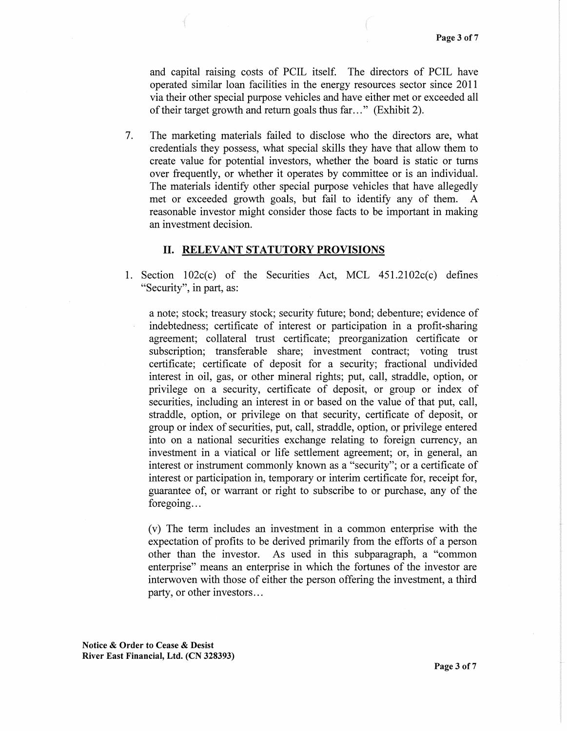and capital raising costs of PCIL itself. The directors of PCIL have operated similar loan facilities in the energy resources sector since 2011 via their other special purpose vehicles and have either met or exceeded all of their target growth and return goals thus far ... " (Exhibit 2).

7. The marketing materials failed to disclose who the directors are, what credentials they possess, what special skills they have that allow them to create value for potential investors, whether the board is static or turns over frequently, or whether it operates by committee or is an individual. The materials identify other special purpose vehicles that have allegedly met or exceeded growth goals, but fail to identify any of them. A reasonable investor might consider those facts to be important in making an investment decision.

#### II. RELEVANT STATUTORY PROVISIONS

1. Section 102c(c) of the Securities Act, MCL 451.2102c(c) defines "Security", in part, as:

a note; stock; treasury stock; security future; bond; debenture; evidence of indebtedness; certificate of interest or participation in a profit-sharing agreement; collateral trust certificate; preorganization certificate or subscription; transferable share; investment contract; voting trust certificate; certificate of deposit for a security; fractional undivided interest in oil, gas, or other mineral rights; put, call, straddle, option, or privilege on a security, certificate of deposit, or group or index of securities, including an interest in or based on the value of that put, call, straddle, option, or privilege on that security, certificate of deposit, or group or index of securities, put, call, straddle, option, or privilege entered into on a national securities exchange relating to foreign currency, an investment in a viatical or life settlement agreement; or, in general, an interest or instrument commonly known as a "security"; or a certificate of interest or participation in, temporary or interim certificate for, receipt for, guarantee of, or warrant or right to subscribe to or purchase, any of the foregoing...

(v) The term includes an investment in a common enterprise with the expectation of profits to be derived primarily from the efforts of a person other than the investor. As used in this subparagraph, a "common enterprise" means an enterprise in which the fortunes of the investor are interwoven with those of either the person offering the investment, a third party, or other investors ...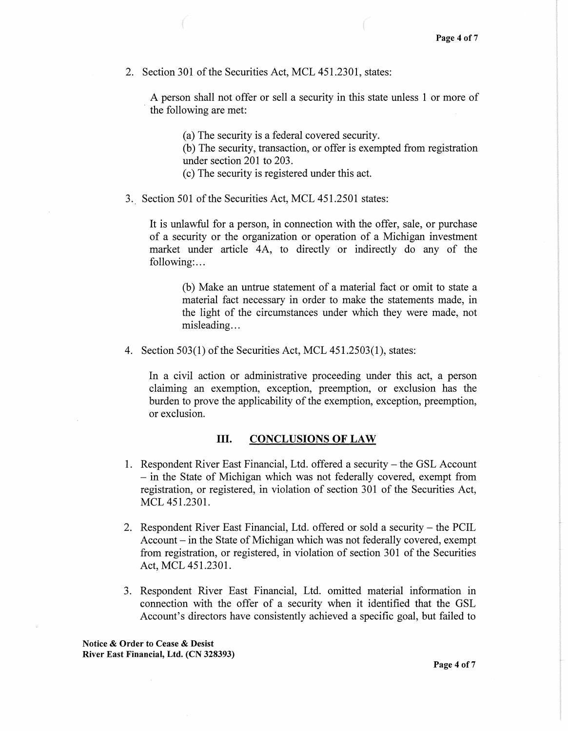2. Section 301 of the Securities Act, MCL 451.2301, states:

A person shall not offer or sell a security in this state unless 1 or more of the following are met:

(a) The security is a federal covered security.

(b) The security, transaction, or offer is exempted from registration under section 201 to 203.

(c) The security is registered under this act.

3. Section 501 of the Securities Act, MCL 451.2501 states:

It is unlawful for a person, in connection with the offer, sale, or purchase of a security or the organization or operation of a Michigan investment market under article 4A, to directly or indirectly do any of the following:...

(b) Make an untrue statement of a material fact or omit to state a material fact necessary in order to make the statements made, in the light of the circumstances under which they were made, not misleading...

4. Section  $503(1)$  of the Securities Act, MCL  $451.2503(1)$ , states:

In a civil action or administrative proceeding under this act, a person claiming an exemption, exception, preemption, or exclusion has the burden to prove the applicability of the exemption, exception, preemption, or exclusion.

#### III. CONCLUSIONS OF LAW

- 1. Respondent River East Financial, Ltd. offered a security the GSL Account - in the State of Michigan which was not federally covered, exempt from registration, or registered, in violation of section 301 of the Securities Act, MCL 451.2301.
- 2. Respondent River East Financial, Ltd. offered or sold a security the PCIL Account – in the State of Michigan which was not federally covered, exempt from registration, or registered, in violation of section 301 of the Securities Act, MCL 451.2301.
- 3. Respondent River East Financial, Ltd. omitted material information in connection with the offer of a security when it identified that the GSL Account's directors have consistently achieved a specific goal, but failed to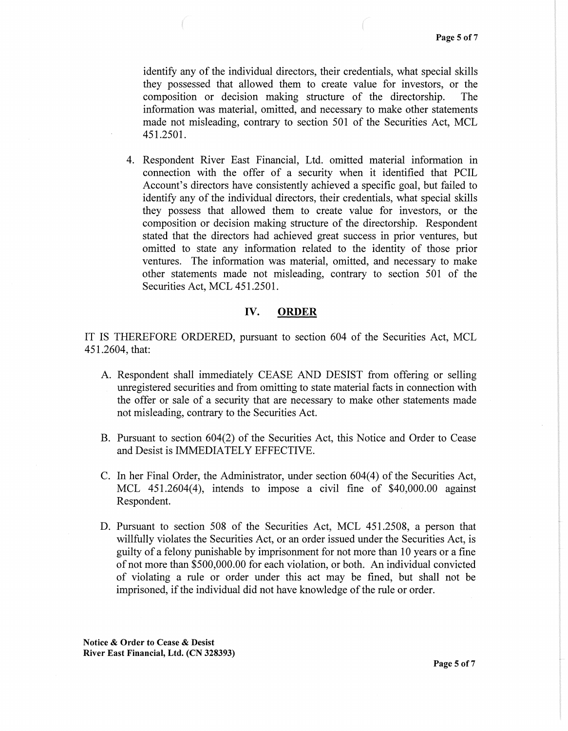identify any of the individual directors, their credentials, what special skills they possessed that allowed them to create value for investors, or the composition or decision making structure of the directorship. The information was material, omitted, and necessary to make other statements made not misleading, contrary to section 501 of the Securities Act, MCL 451.2501.

4. Respondent River East Financial, Ltd. omitted material information in connection with the offer of a security when it identified that PCIL Account's directors have consistently achieved a specific goal, but failed to identify any of the individual directors, their credentials, what special skills they possess that allowed them to create value for investors, or the composition or decision making structure of the directorship. Respondent stated that the directors had achieved great success in prior ventures, but omitted to state any information related to the identity of those prior ventures. The information was material, omitted, and necessary to make other statements made not misleading, contrary to section 501 of the Securities Act, MCL 451.2501.

## IV. **ORDER**

IT IS THEREFORE ORDERED, pursuant to section 604 of the Securities Act, MCL 451.2604, that:

- A. Respondent shall immediately CEASE AND DESIST from offering or selling unregistered securities and from omitting to state material facts in connection with the offer or sale of a security that are necessary to make other statements made not misleading, contrary to the Securities Act.
- B. Pursuant to section 604(2) of the Securities Act, this Notice and Order to Cease and Desist is IMMEDIATELY EFFECTIVE.
- C. In her Final Order, the Administrator, under section 604(4) of the Securities Act, MCL 451.2604(4), intends to impose a civil fine of \$40,000.00 against Respondent.
- D. Pursuant to section 508 of the Securities Act, MCL 451.2508, a person that willfully violates the Securities Act, or an order issued under the Securities Act, is guilty of a felony punishable by imprisonment for not more than 10 years or a fine of not more than \$500,000.00 for each violation, or both. An individual convicted of violating a rule or order under this act may be fined, but shall not be imprisoned, if the individual did not have knowledge of the rule or order.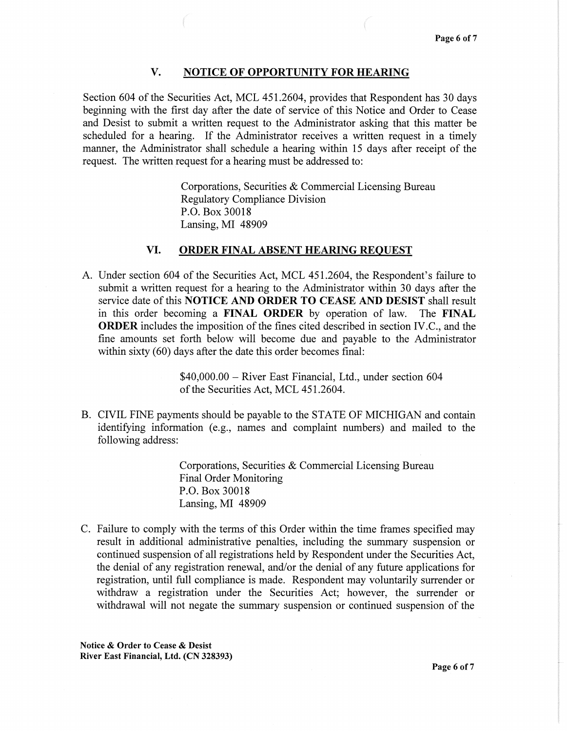# V. NOTICE OF OPPORTUNITY FOR HEARING

Section 604 of the Securities Act, MCL 451.2604, provides that Respondent has 30 days beginning with the first day after the date of service of this Notice and Order to Cease and Desist to submit a written request to the Administrator asking that this matter be scheduled for a hearing. If the Administrator receives a written request in a timely manner, the Administrator shall schedule a hearing within 15 days after receipt of the request. The written request for a hearing must be addressed to:

> Corporations, Securities & Commercial Licensing Bureau Regulatory Compliance Division P.O. Box 30018 Lansing, MI 48909

### VI. ORDER FINAL ABSENT HEARING REQUEST

A. Under section 604 of the Securities Act, MCL 451.2604, the Respondent's failure to submit a written request for a hearing to the Administrator within 30 days after the service date of this NOTICE AND ORDER TO CEASE AND DESIST shall result in this order becoming a FINAL ORDER by operation of law. The FINAL ORDER includes the imposition of the fmes cited described in section IV.C., and the fine amounts set forth below will become due and payable to the Administrator within sixty (60) days after the date this order becomes final:

> \$40,000.00 – River East Financial, Ltd., under section 604 of the Securities Act, MCL 451.2604.

B. CIVIL FINE payments should be payable to the STATE OF MICHIGAN and contain identifying information (e.g., names and complaint numbers) and mailed to the following address:

> Corporations, Securities & Commercial Licensing Bureau Final Order Monitoring P.O. Box 30018 Lansing, MI 48909

C. Failure to comply with the terms of this Order within the time frames specified may result in additional administrative penalties, including the summary suspension or continued suspension of all registrations held by Respondent under the Securities Act, the denial of any registration renewal, and/or the denial of any future applications for registration, until full compliance is made. Respondent may voluntarily surrender or withdraw a registration under the Securities Act; however, the surrender or withdrawal will not negate the summary suspension or continued suspension of the